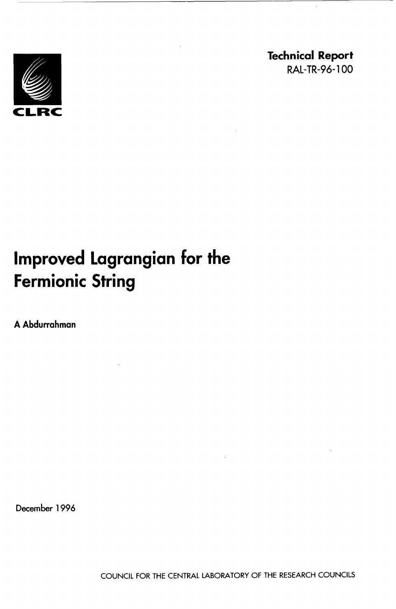

**Technical Report**  RAL-TR-96-100

# **Improved Lagrangian for the Fermionic String**

**A Abdurrahman** 

**December 1996**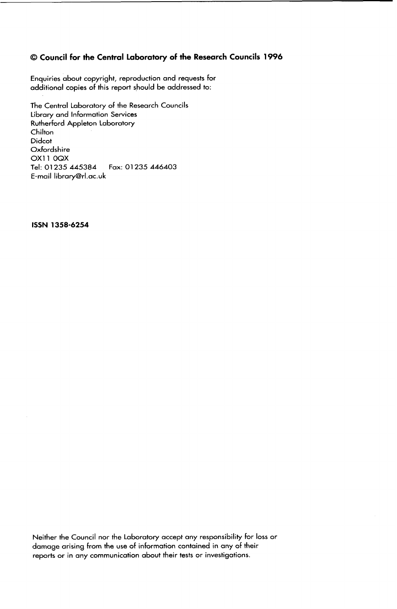### 0 **Council for the Central Laboratory of the Research Councils 1996**

Enquiries about copyright, reproduction and requests for additional copies of this report should be addressed to:

The Central Laboratory of the Research Councils Library and Information Services Rutherford Appleton Laboratory **Chilton** Didcot Oxfordshire OX11 0QX Tel: 01 **235 445384**  E-mail library@rl.ac.uk Fax: 01 **235 446403** 

**ISSN 1358-6254** 

Neither the Council nor the Laboratory accept any responsibility for loss or damage arising from the use of information contained in any of their reports **or** in any communication about their tests or investigations.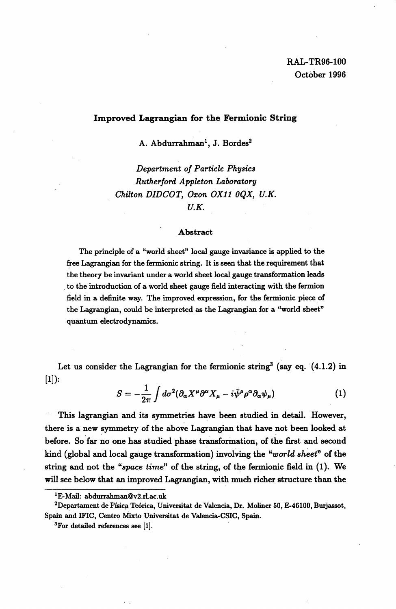#### **Improved Lagrangian for the Fermionic String**

A. Abdurrahman', **J.** Bordes2

*Department of Particle Physics Rutherford Appleton Labomtory Chilton DIDCOT, Oxon OX11 OQX, U.K. U.K.* 

#### **Abstract**

The principle of a "world sheet" local gauge invariance is applied to the free Lagrangian for the fermionic string. It is **seen** that the requirement that the theory be invariant under a world sheet local gauge transformation **leads**  to the introduction of a world sheet gauge field interacting with the fermion field in a definite way. The improved expression, for the fermionic piece of the Lagrangian, could be interpreted as the Lagrangian for a "world sheet" quantum electrodynamics.

Let us consider the Lagrangian for the fermionic string<sup>3</sup> (say eq.  $(4.1.2)$  in  $[1]$ :

$$
S = -\frac{1}{2\pi} \int d\sigma^2 (\partial_\alpha X^\mu \partial^\alpha X_\mu - i \bar{\psi}^\mu \rho^\alpha \partial_\alpha \psi_\mu)
$$
 (1)

**This** lagrangian and its symmetries have been studied in detail. However, there is a new symmetry of the above Lagrangian that have not been looked at before. **So** far **no** one has studied phase transformation, **of** the first and second kind (global and local gauge transformation) involving the *"world sheet"* of the string and not the *"space time"* of the string, of the fermionic field in (1). We will see below that an improved Lagrangian, with much richer structure than the

<sup>&</sup>lt;sup>1</sup>E-Mail: abdurrahman@v2.rl.ac.uk

<sup>&</sup>lt;sup>2</sup>Departament de Física Teórica, Universitat de Valencia, Dr. Moliner 50, E-46100, Burjassot, **Spain** and IFIC, Centro *Mixto* Universitat de Valencia-CSIC, **Spain.** 

**<sup>3</sup>F0r** detailed references **see [l].**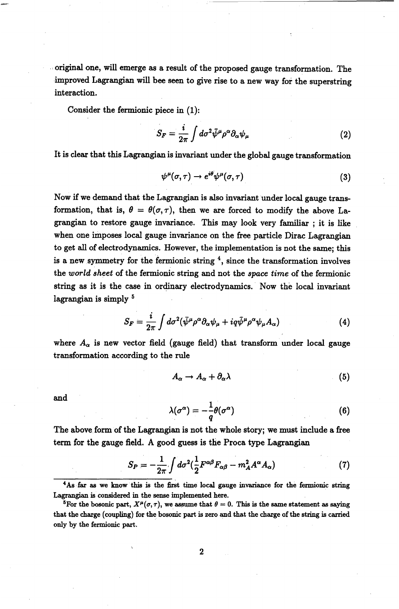original one, will emerge as a result of the proposed gauge transformation. The improved Lagrangian will bee seen to give rise to a new way for the superstring interaction.

Consider the fermionic piece in (1):

$$
S_F = \frac{i}{2\pi} \int d\sigma^2 \bar{\psi}^\mu \rho^\alpha \partial_\alpha \psi_\mu \tag{2}
$$

It is clear that this Lagrangian is invariant under the global gauge transformation

$$
\psi^{\mu}(\sigma,\tau) \to e^{i\theta} \psi^{\mu}(\sigma,\tau) \tag{3}
$$

Now if we demand that the Lagrangian is also invariant under local gauge transformation, that is,  $\theta = \theta(\sigma, \tau)$ , then we are forced to modify the above Lagrangian to restore gauge invariance. This may look very familiar ; it is like when one imposes local gauge invariance **on** the free particle Dirac Lagrangian to get all of electrodynamics. However, the implementation is not the same; this is a new symmetry for the fermionic string **4,** since the transformation involves the *world sheet* of the fermionic string and not the *space time* of the fermionic string as it is the case in ordinary electrodynamics. Now the local invariant lagrangian is simply <sup>5</sup>

$$
S_F = \frac{i}{2\pi} \int d\sigma^2 (\bar{\psi}^{\mu} \rho^{\alpha} \partial_{\alpha} \psi_{\mu} + i q \bar{\psi}^{\mu} \rho^{\alpha} \psi_{\mu} A_{\alpha}) \tag{4}
$$

where  $A_{\alpha}$  is new vector field (gauge field) that transform under local gauge transformation according to the rule

$$
A_{\alpha} \to A_{\alpha} + \partial_{\alpha} \lambda \tag{5}
$$

and

$$
\lambda(\sigma^{\alpha}) = -\frac{1}{q}\theta(\sigma^{\alpha})
$$
\n(6)

The above form of the Lagrangian is not the whole story; we must include **a** free term **for** the gauge field. A good guess is the Proca type Lagrangian

$$
S_P = -\frac{1}{2\pi} \int d\sigma^2 \left(\frac{1}{2} F^{\alpha\beta} F_{\alpha\beta} - m_A^2 A^\alpha A_\alpha\right) \tag{7}
$$

**4As far as we know this is the first time local gauge invariance for the fermionic string Lagrangian is considered in the sense implemented here.** 

<sup>&</sup>lt;sup>5</sup>For the bosonic part,  $X^{\mu}(\sigma, \tau)$ , we assume that  $\theta = 0$ . This is the same statement as saying **that the charge (coupling) for the bosonic part is zero and that the charge of the string is carried only by the fermionic part.**